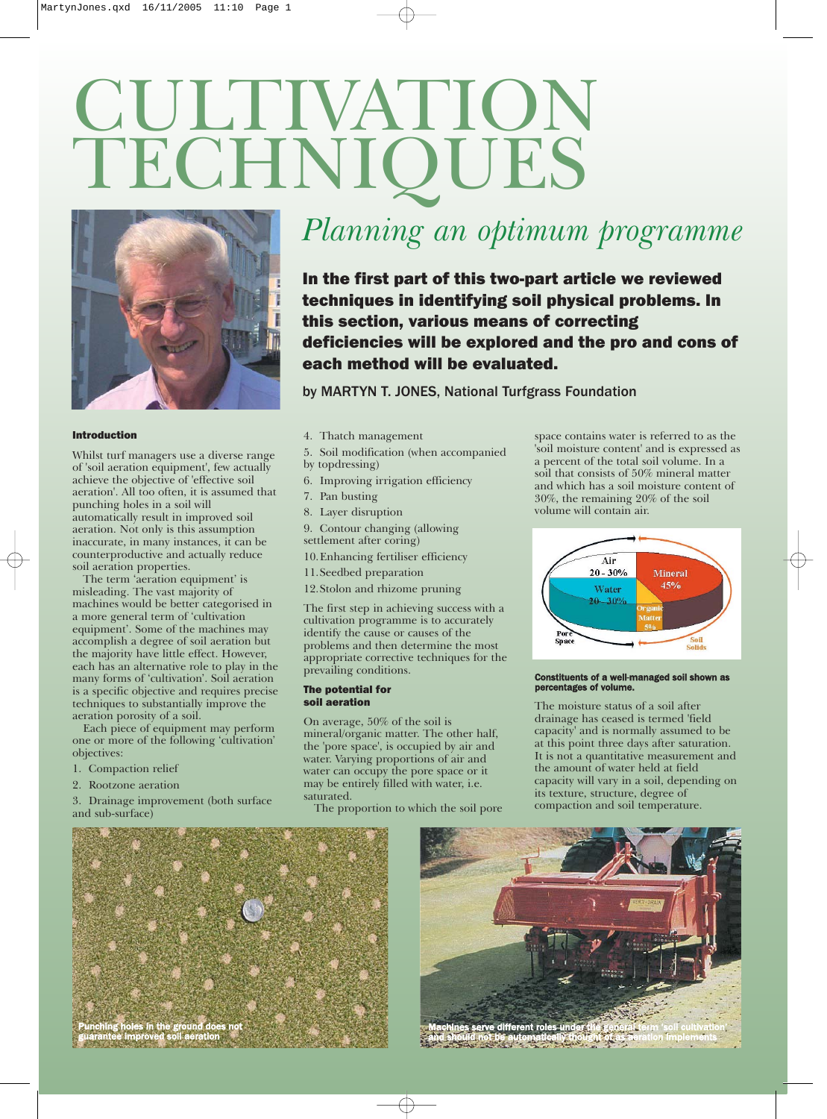# CULTIVATION TECHNIQUES



## Introduction

Whilst turf managers use a diverse range of 'soil aeration equipment', few actually achieve the objective of 'effective soil aeration'. All too often, it is assumed that punching holes in a soil will automatically result in improved soil aeration. Not only is this assumption inaccurate, in many instances, it can be counterproductive and actually reduce soil aeration properties.

The term 'aeration equipment' is misleading. The vast majority of machines would be better categorised in a more general term of 'cultivation equipment'. Some of the machines may accomplish a degree of soil aeration but the majority have little effect. However, each has an alternative role to play in the many forms of 'cultivation'. Soil aeration is a specific objective and requires precise techniques to substantially improve the aeration porosity of a soil.

Each piece of equipment may perform one or more of the following 'cultivation' objectives:

- 1. Compaction relief
- 2. Rootzone aeration

3. Drainage improvement (both surface and sub-surface)

# *Planning an optimum programme*

In the first part of this two-part article we reviewed techniques in identifying soil physical problems. In this section, various means of correcting deficiencies will be explored and the pro and cons of each method will be evaluated.

by MARTYN T. JONES, National Turfgrass Foundation

- 4. Thatch management
- 5. Soil modification (when accompanied
- by topdressing)
- 6. Improving irrigation efficiency
- 7. Pan busting
- 8. Layer disruption
- 9. Contour changing (allowing
- settlement after coring)
- 10.Enhancing fertiliser efficiency
- 11.Seedbed preparation
- 12.Stolon and rhizome pruning

The first step in achieving success with a cultivation programme is to accurately identify the cause or causes of the problems and then determine the most appropriate corrective techniques for the prevailing conditions.

## The potential for soil aeration

On average, 50% of the soil is mineral/organic matter. The other half, the 'pore space', is occupied by air and water. Varying proportions of air and water can occupy the pore space or it may be entirely filled with water, i.e. saturated.

The proportion to which the soil pore

space contains water is referred to as the 'soil moisture content' and is expressed as a percent of the total soil volume. In a soil that consists of 50% mineral matter and which has a soil moisture content of 30%, the remaining 20% of the soil volume will contain air.



#### Constituents of a well-managed soil shown as percentages of volume.

The moisture status of a soil after drainage has ceased is termed 'field capacity' and is normally assumed to be at this point three days after saturation. It is not a quantitative measurement and the amount of water held at field capacity will vary in a soil, depending on its texture, structure, degree of compaction and soil temperature.





and should not be automatically thought of as aeration implements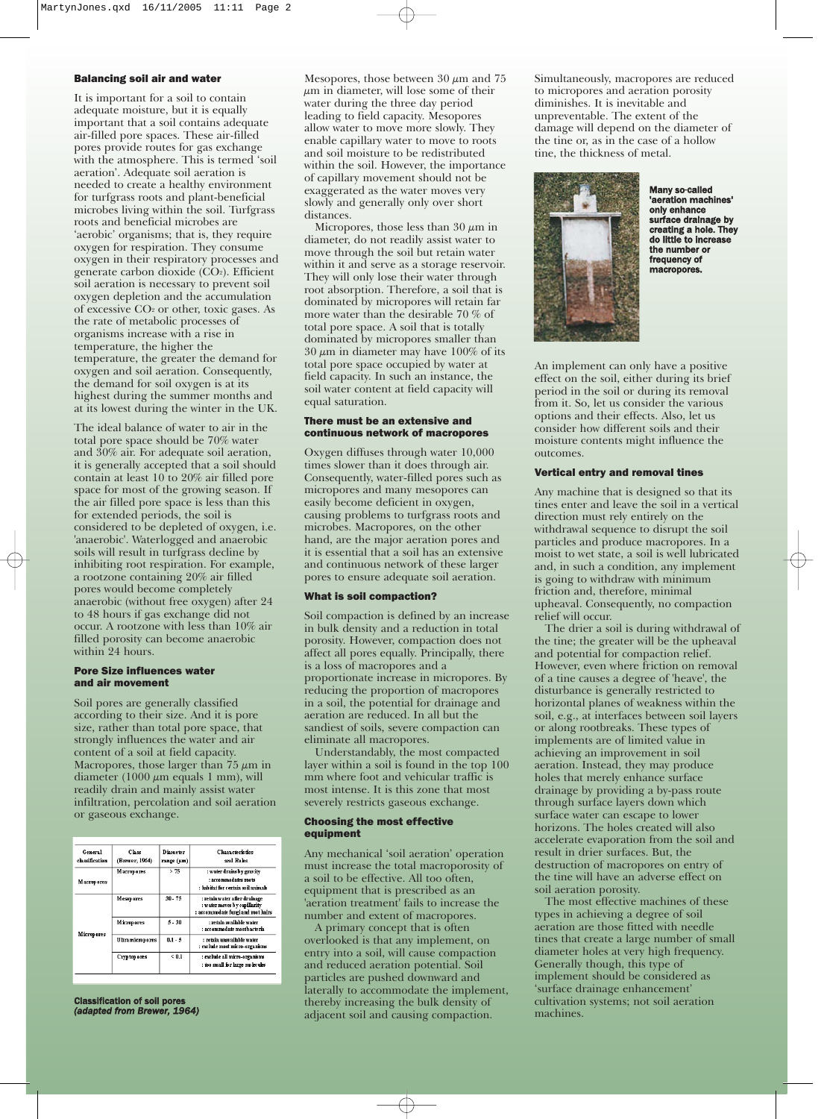#### Balancing soil air and water

It is important for a soil to contain adequate moisture, but it is equally important that a soil contains adequate air-filled pore spaces. These air-filled pores provide routes for gas exchange with the atmosphere. This is termed 'soil aeration'. Adequate soil aeration is needed to create a healthy environment for turfgrass roots and plant-beneficial microbes living within the soil. Turfgrass roots and beneficial microbes are 'aerobic' organisms; that is, they require oxygen for respiration. They consume oxygen in their respiratory processes and generate carbon dioxide (CO2). Efficient soil aeration is necessary to prevent soil oxygen depletion and the accumulation of excessive CO2 or other, toxic gases. As the rate of metabolic processes of organisms increase with a rise in temperature, the higher the temperature, the greater the demand for oxygen and soil aeration. Consequently, the demand for soil oxygen is at its highest during the summer months and at its lowest during the winter in the UK.

The ideal balance of water to air in the total pore space should be 70% water and 30% air. For adequate soil aeration, it is generally accepted that a soil should contain at least 10 to 20% air filled pore space for most of the growing season. If the air filled pore space is less than this for extended periods, the soil is considered to be depleted of oxygen, i.e. 'anaerobic'. Waterlogged and anaerobic soils will result in turfgrass decline by inhibiting root respiration. For example, a rootzone containing 20% air filled pores would become completely anaerobic (without free oxygen) after 24 to 48 hours if gas exchange did not occur. A rootzone with less than 10% air filled porosity can become anaerobic within 24 hours.

# Pore Size influences water and air movement

Soil pores are generally classified according to their size. And it is pore size, rather than total pore space, that strongly influences the water and air content of a soil at field capacity. Macropores, those larger than  $75 \mu m$  in diameter (1000  $\mu$ m equals 1 mm), will readily drain and mainly assist water infiltration, percolation and soil aeration or gaseous exchange.

| General<br>classification | $C$ hese<br>(Brewer, 1964) | Diameter<br>range (um) | <b>Characteristics</b><br>and Roles                                                                 |
|---------------------------|----------------------------|------------------------|-----------------------------------------------------------------------------------------------------|
| Macropores                | <b>Macropores</b>          | > 75                   | : water drains by gravity<br>: accommodates roots<br>: babitat for certain soil animals             |
| <b>Micropores</b>         | <b>Mesopores</b>           | $30 - 75$              | : retain water after drainage<br>: water moves by capillarity<br>: accommodate fungi and root hairs |
|                           | <b>Micropores</b>          | $5 - 30$               | : retain available water<br>: accommodate most bacteria                                             |
|                           | <b>Ultramicropores</b>     | $0.1 - 5$              | : retain unavailable water<br>: exclude most micro-organisms                                        |
|                           | Cryptop ores               | < 0.1                  | : exclude all micro-organisms<br>: too small for large molecules                                    |

Classification of soil pores *(adapted from Brewer, 1964)*

Mesopores, those between  $30 \mu m$  and  $75$  $\mu$ m in diameter, will lose some of their water during the three day period leading to field capacity. Mesopores allow water to move more slowly. They enable capillary water to move to roots and soil moisture to be redistributed within the soil. However, the importance of capillary movement should not be exaggerated as the water moves very slowly and generally only over short distances.

Micropores, those less than 30  $\mu$ m in diameter, do not readily assist water to move through the soil but retain water within it and serve as a storage reservoir. They will only lose their water through root absorption. Therefore, a soil that is dominated by micropores will retain far more water than the desirable 70 % of total pore space. A soil that is totally dominated by micropores smaller than  $30 \mu m$  in diameter may have 100% of its total pore space occupied by water at field capacity. In such an instance, the soil water content at field capacity will equal saturation.

# There must be an extensive and continuous network of macropores

Oxygen diffuses through water 10,000 times slower than it does through air. Consequently, water-filled pores such as micropores and many mesopores can easily become deficient in oxygen, causing problems to turfgrass roots and microbes. Macropores, on the other hand, are the major aeration pores and it is essential that a soil has an extensive and continuous network of these larger pores to ensure adequate soil aeration.

#### What is soil compaction?

Soil compaction is defined by an increase in bulk density and a reduction in total porosity. However, compaction does not affect all pores equally. Principally, there is a loss of macropores and a proportionate increase in micropores. By reducing the proportion of macropores in a soil, the potential for drainage and aeration are reduced. In all but the sandiest of soils, severe compaction can eliminate all macropores.

Understandably, the most compacted layer within a soil is found in the top 100 mm where foot and vehicular traffic is most intense. It is this zone that most severely restricts gaseous exchange.

#### Choosing the most effective equipment

Any mechanical 'soil aeration' operation must increase the total macroporosity of a soil to be effective. All too often, equipment that is prescribed as an 'aeration treatment' fails to increase the number and extent of macropores.

A primary concept that is often overlooked is that any implement, on entry into a soil, will cause compaction and reduced aeration potential. Soil particles are pushed downward and laterally to accommodate the implement, thereby increasing the bulk density of adjacent soil and causing compaction.

Simultaneously, macropores are reduced to micropores and aeration porosity diminishes. It is inevitable and unpreventable. The extent of the damage will depend on the diameter of the tine or, as in the case of a hollow tine, the thickness of metal.



Many so-called 'aeration machines' only enhance surface drainage by creating a hole. They do little to increase the number or frequency of macropores.

An implement can only have a positive effect on the soil, either during its brief period in the soil or during its removal from it. So, let us consider the various options and their effects. Also, let us consider how different soils and their moisture contents might influence the outcomes.

#### Vertical entry and removal tines

Any machine that is designed so that its tines enter and leave the soil in a vertical direction must rely entirely on the withdrawal sequence to disrupt the soil particles and produce macropores. In a moist to wet state, a soil is well lubricated and, in such a condition, any implement is going to withdraw with minimum friction and, therefore, minimal upheaval. Consequently, no compaction relief will occur.

The drier a soil is during withdrawal of the tine; the greater will be the upheaval and potential for compaction relief. However, even where friction on removal of a tine causes a degree of 'heave', the disturbance is generally restricted to horizontal planes of weakness within the soil, e.g., at interfaces between soil layers or along rootbreaks. These types of implements are of limited value in achieving an improvement in soil aeration. Instead, they may produce holes that merely enhance surface drainage by providing a by-pass route through surface layers down which surface water can escape to lower horizons. The holes created will also accelerate evaporation from the soil and result in drier surfaces. But, the destruction of macropores on entry of the tine will have an adverse effect on soil aeration porosity.

The most effective machines of these types in achieving a degree of soil aeration are those fitted with needle tines that create a large number of small diameter holes at very high frequency. Generally though, this type of implement should be considered as 'surface drainage enhancement' cultivation systems; not soil aeration machines.